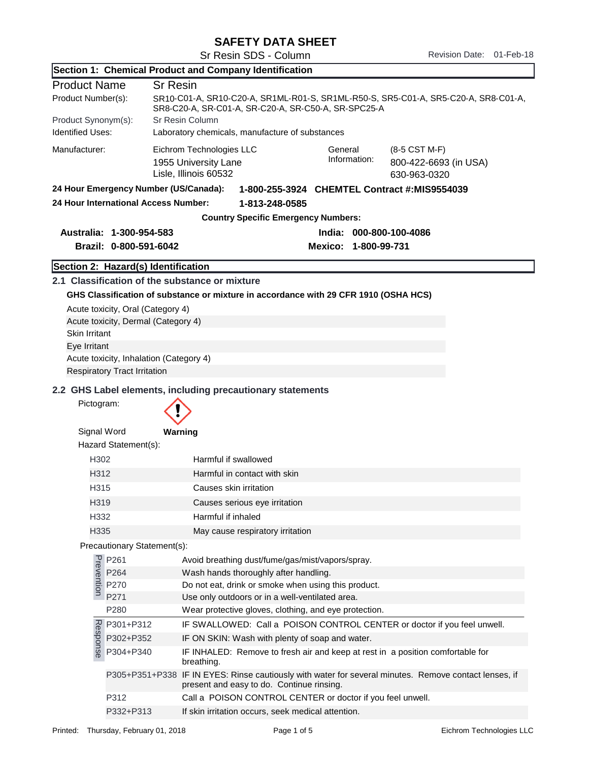## SAFETY DATA SHEET

|                                                                                       |                                                                                                                                                                | Section 1: Chemical Product and Company Identification                                                                                    |  |  |  |
|---------------------------------------------------------------------------------------|----------------------------------------------------------------------------------------------------------------------------------------------------------------|-------------------------------------------------------------------------------------------------------------------------------------------|--|--|--|
| <b>Product Name</b>                                                                   | <b>Sr Resin</b>                                                                                                                                                |                                                                                                                                           |  |  |  |
| Product Number(s):                                                                    |                                                                                                                                                                | SR10-C01-A, SR10-C20-A, SR1ML-R01-S, SR1ML-R50-S, SR5-C01-A, SR5-C20-A, SR8-C01-A,<br>SR8-C20-A, SR-C01-A, SR-C20-A, SR-C50-A, SR-SPC25-A |  |  |  |
|                                                                                       | Sr Resin Column<br>Product Synonym(s):                                                                                                                         |                                                                                                                                           |  |  |  |
| <b>Identified Uses:</b>                                                               |                                                                                                                                                                | Laboratory chemicals, manufacture of substances                                                                                           |  |  |  |
| Manufacturer:                                                                         | Eichrom Technologies LLC<br>General<br>(8-5 CST M-F)<br>Information:<br>800-422-6693 (in USA)<br>1955 University Lane<br>Lisle, Illinois 60532<br>630-963-0320 |                                                                                                                                           |  |  |  |
| 24 Hour Emergency Number (US/Canada):<br>1-800-255-3924 CHEMTEL Contract #:MIS9554039 |                                                                                                                                                                |                                                                                                                                           |  |  |  |
|                                                                                       | 24 Hour International Access Number:                                                                                                                           | 1-813-248-0585                                                                                                                            |  |  |  |
|                                                                                       |                                                                                                                                                                | <b>Country Specific Emergency Numbers:</b>                                                                                                |  |  |  |
| Australia: 1-300-954-583<br>India: 000-800-100-4086                                   |                                                                                                                                                                |                                                                                                                                           |  |  |  |
|                                                                                       | Brazil: 0-800-591-6042                                                                                                                                         | Mexico: 1-800-99-731                                                                                                                      |  |  |  |
|                                                                                       | Section 2: Hazard(s) Identification                                                                                                                            |                                                                                                                                           |  |  |  |
|                                                                                       |                                                                                                                                                                | 2.1 Classification of the substance or mixture                                                                                            |  |  |  |
|                                                                                       |                                                                                                                                                                | GHS Classification of substance or mixture in accordance with 29 CFR 1910 (OSHA HCS)                                                      |  |  |  |
|                                                                                       | Acute toxicity, Oral (Category 4)                                                                                                                              |                                                                                                                                           |  |  |  |
|                                                                                       | Acute toxicity, Dermal (Category 4)                                                                                                                            |                                                                                                                                           |  |  |  |
| Skin Irritant                                                                         |                                                                                                                                                                |                                                                                                                                           |  |  |  |
| Eye Irritant                                                                          |                                                                                                                                                                |                                                                                                                                           |  |  |  |
|                                                                                       | Acute toxicity, Inhalation (Category 4)                                                                                                                        |                                                                                                                                           |  |  |  |
|                                                                                       | <b>Respiratory Tract Irritation</b>                                                                                                                            |                                                                                                                                           |  |  |  |
|                                                                                       |                                                                                                                                                                | 2.2 GHS Label elements, including precautionary statements                                                                                |  |  |  |
| Pictogram:                                                                            |                                                                                                                                                                |                                                                                                                                           |  |  |  |
| Signal Word                                                                           |                                                                                                                                                                | Warning                                                                                                                                   |  |  |  |
|                                                                                       | Hazard Statement(s):                                                                                                                                           |                                                                                                                                           |  |  |  |
| H302                                                                                  |                                                                                                                                                                | Harmful if swallowed                                                                                                                      |  |  |  |
| H312                                                                                  |                                                                                                                                                                | Harmful in contact with skin                                                                                                              |  |  |  |
| H315                                                                                  |                                                                                                                                                                | Causes skin irritation                                                                                                                    |  |  |  |
| H319                                                                                  |                                                                                                                                                                | Causes serious eye irritation                                                                                                             |  |  |  |
| H332                                                                                  |                                                                                                                                                                | Harmful if inhaled                                                                                                                        |  |  |  |
| H335                                                                                  |                                                                                                                                                                | May cause respiratory irritation                                                                                                          |  |  |  |
|                                                                                       | Precautionary Statement(s):                                                                                                                                    |                                                                                                                                           |  |  |  |
|                                                                                       | P261<br>P264<br>P264<br>P270<br>P271<br>P264                                                                                                                   | Avoid breathing dust/fume/gas/mist/vapors/spray.<br>Wash hands thoroughly after handling.                                                 |  |  |  |
|                                                                                       | P270                                                                                                                                                           | Do not eat, drink or smoke when using this product.                                                                                       |  |  |  |
|                                                                                       | P271                                                                                                                                                           | Use only outdoors or in a well-ventilated area.                                                                                           |  |  |  |
|                                                                                       | P280                                                                                                                                                           | Wear protective gloves, clothing, and eye protection.                                                                                     |  |  |  |
| P301+P312<br>IF SWALLOWED: Call a POISON CONTROL CENTER or doctor if you feel unwell. |                                                                                                                                                                |                                                                                                                                           |  |  |  |
| Response<br>P302+P352<br>IF ON SKIN: Wash with plenty of soap and water.              |                                                                                                                                                                |                                                                                                                                           |  |  |  |
|                                                                                       | P304+P340                                                                                                                                                      | IF INHALED: Remove to fresh air and keep at rest in a position comfortable for<br>breathing.                                              |  |  |  |
|                                                                                       | P305+P351+P338                                                                                                                                                 | IF IN EYES: Rinse cautiously with water for several minutes. Remove contact lenses, if<br>present and easy to do. Continue rinsing.       |  |  |  |
|                                                                                       | P312                                                                                                                                                           | Call a POISON CONTROL CENTER or doctor if you feel unwell.                                                                                |  |  |  |
|                                                                                       | P332+P313                                                                                                                                                      | If skin irritation occurs, seek medical attention.                                                                                        |  |  |  |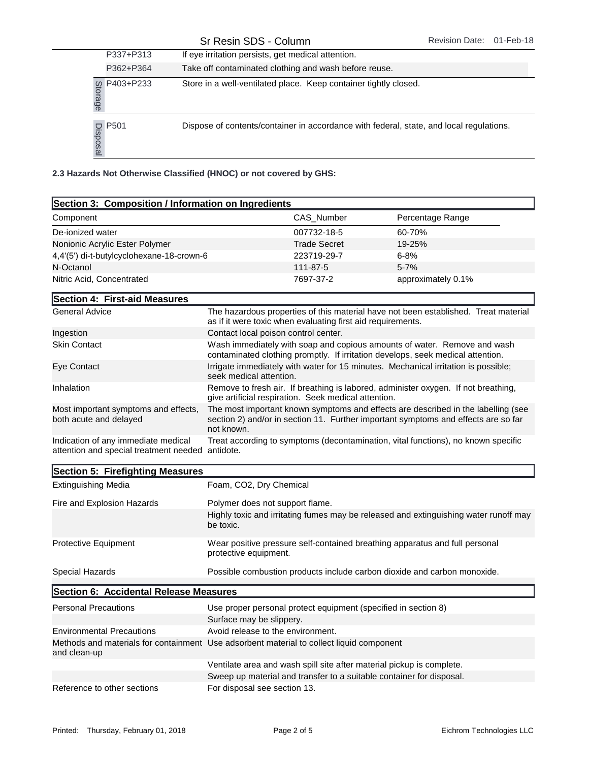| P337+P313              | If eye irritation persists, get medical attention.                                      |
|------------------------|-----------------------------------------------------------------------------------------|
| P362+P364              | Take off contaminated clothing and wash before reuse.                                   |
| g P403+P233<br>ad<br>@ | Store in a well-ventilated place. Keep container tightly closed.                        |
| $\frac{10}{2}$ P501    | Dispose of contents/container in accordance with federal, state, and local regulations. |

| P403+P233<br>Storage                                               |                                      | Store in a well-ventilated place. Keep container tightly closed.<br>Dispose of contents/container in accordance with federal, state, and local regulations.             |                    |  |
|--------------------------------------------------------------------|--------------------------------------|-------------------------------------------------------------------------------------------------------------------------------------------------------------------------|--------------------|--|
| $\frac{1}{20}$ P501<br>$\frac{1}{20}$                              |                                      |                                                                                                                                                                         |                    |  |
| 2.3 Hazards Not Otherwise Classified (HNOC) or not covered by GHS: |                                      |                                                                                                                                                                         |                    |  |
| Section 3: Composition / Information on Ingredients                |                                      |                                                                                                                                                                         |                    |  |
| Component                                                          |                                      | CAS Number                                                                                                                                                              | Percentage Range   |  |
| De-ionized water                                                   |                                      | 007732-18-5                                                                                                                                                             | 60-70%             |  |
| Nonionic Acrylic Ester Polymer                                     |                                      | <b>Trade Secret</b>                                                                                                                                                     | 19-25%             |  |
| 4,4'(5') di-t-butylcyclohexane-18-crown-6                          |                                      | 223719-29-7                                                                                                                                                             | $6 - 8%$           |  |
| N-Octanol                                                          |                                      | 111-87-5                                                                                                                                                                | $5 - 7%$           |  |
| Nitric Acid, Concentrated                                          |                                      | 7697-37-2                                                                                                                                                               | approximately 0.1% |  |
| Section 4: First-aid Measures                                      |                                      |                                                                                                                                                                         |                    |  |
| <b>General Advice</b>                                              |                                      | The hazardous properties of this material have not been established. Treat material<br>as if it were toxic when evaluating first aid requirements.                      |                    |  |
| Ingestion                                                          | Contact local poison control center. |                                                                                                                                                                         |                    |  |
| <b>Skin Contact</b>                                                |                                      | Wash immediately with soap and copious amounts of water. Remove and wash<br>contaminated clothing promptly. If irritation develops, seek medical attention.             |                    |  |
| Eye Contact                                                        |                                      | Irrigate immediately with water for 15 minutes. Mechanical irritation is possible;<br>seek medical attention.                                                           |                    |  |
| Inhalation                                                         |                                      | Remove to fresh air. If breathing is labored, administer oxygen. If not breathing,<br>give artificial respiration. Seek medical attention.                              |                    |  |
| Most important symptoms and effects,<br>both acute and delayed     |                                      | The most important known symptoms and effects are described in the labelling (see<br>section 2) and/or in section 11. Further important symptoms and effects are so far |                    |  |

not known. Indication of any immediate medical attention and special treatment needed antidote. Treat according to symptoms (decontamination, vital functions), no known specific

| Section 5: Firefighting Measures       |                                                                                                      |  |
|----------------------------------------|------------------------------------------------------------------------------------------------------|--|
| <b>Extinguishing Media</b>             | Foam, CO2, Dry Chemical                                                                              |  |
| Fire and Explosion Hazards             | Polymer does not support flame.                                                                      |  |
|                                        | Highly toxic and irritating fumes may be released and extinguishing water runoff may<br>be toxic.    |  |
| <b>Protective Equipment</b>            | Wear positive pressure self-contained breathing apparatus and full personal<br>protective equipment. |  |
| Special Hazards                        | Possible combustion products include carbon dioxide and carbon monoxide.                             |  |
| Section 6: Accidental Release Measures |                                                                                                      |  |
| <b>Personal Precautions</b>            | Use proper personal protect equipment (specified in section 8)                                       |  |
|                                        | Surface may be slippery.                                                                             |  |
| <b>Environmental Precautions</b>       | Avoid release to the environment.                                                                    |  |
| and clean-up                           | Methods and materials for containment Use adsorbent material to collect liquid component             |  |
|                                        | Ventilate area and wash spill site after material pickup is complete.                                |  |
|                                        | Sweep up material and transfer to a suitable container for disposal.                                 |  |
| Reference to other sections            | For disposal see section 13.                                                                         |  |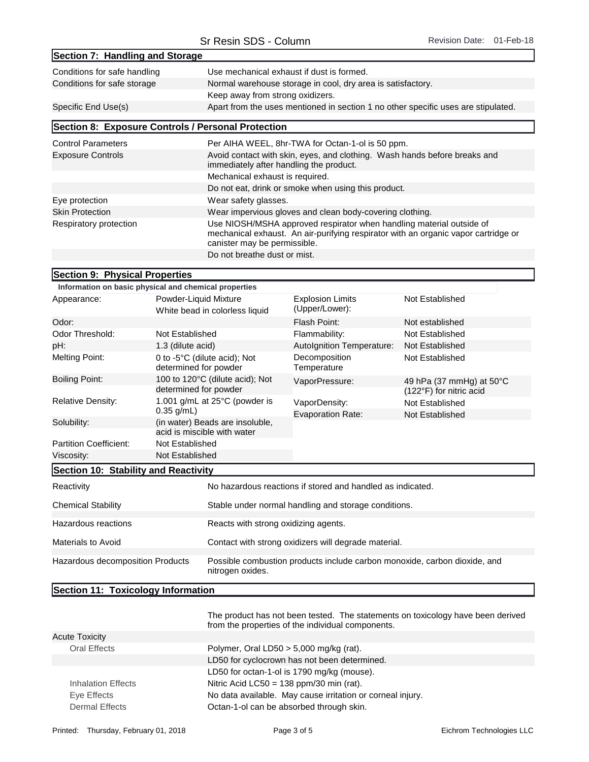| Section 7: Handling and Storage                                                                                                                                                                                      |                                                                                                                      |  |
|----------------------------------------------------------------------------------------------------------------------------------------------------------------------------------------------------------------------|----------------------------------------------------------------------------------------------------------------------|--|
| Use mechanical exhaust if dust is formed.<br>Conditions for safe handling                                                                                                                                            |                                                                                                                      |  |
| Conditions for safe storage                                                                                                                                                                                          | Normal warehouse storage in cool, dry area is satisfactory.                                                          |  |
|                                                                                                                                                                                                                      | Keep away from strong oxidizers.                                                                                     |  |
| Specific End Use(s)                                                                                                                                                                                                  | Apart from the uses mentioned in section 1 no other specific uses are stipulated.                                    |  |
| Section 8: Exposure Controls / Personal Protection                                                                                                                                                                   |                                                                                                                      |  |
| <b>Control Parameters</b>                                                                                                                                                                                            | Per AIHA WEEL, 8hr-TWA for Octan-1-ol is 50 ppm.                                                                     |  |
| <b>Exposure Controls</b>                                                                                                                                                                                             | Avoid contact with skin, eyes, and clothing. Wash hands before breaks and<br>immediately after handling the product. |  |
|                                                                                                                                                                                                                      | Mechanical exhaust is required.                                                                                      |  |
|                                                                                                                                                                                                                      | Do not eat, drink or smoke when using this product.                                                                  |  |
| Eye protection                                                                                                                                                                                                       | Wear safety glasses.                                                                                                 |  |
| <b>Skin Protection</b>                                                                                                                                                                                               | Wear impervious gloves and clean body-covering clothing.                                                             |  |
| Use NIOSH/MSHA approved respirator when handling material outside of<br>Respiratory protection<br>mechanical exhaust. An air-purifying respirator with an organic vapor cartridge or<br>canister may be permissible. |                                                                                                                      |  |
| Do not breathe dust or mist.                                                                                                                                                                                         |                                                                                                                      |  |

## Section 9: Physical Properties

|                               | Information on basic physical and chemical properties           |                                           |                                                               |
|-------------------------------|-----------------------------------------------------------------|-------------------------------------------|---------------------------------------------------------------|
| Appearance:                   | Powder-Liquid Mixture<br>White bead in colorless liquid         | <b>Explosion Limits</b><br>(Upper/Lower): | Not Established                                               |
| Odor:                         |                                                                 | Flash Point:                              | Not established                                               |
| Odor Threshold:               | Not Established                                                 | Flammability:                             | Not Established                                               |
| pH:                           | 1.3 (dilute acid)                                               | <b>Autolgnition Temperature:</b>          | Not Established                                               |
| <b>Melting Point:</b>         | 0 to $-5^{\circ}$ C (dilute acid); Not<br>determined for powder | Decomposition<br>Temperature              | Not Established                                               |
| <b>Boiling Point:</b>         | 100 to 120°C (dilute acid); Not<br>determined for powder        | VaporPressure:                            | 49 hPa (37 mmHg) at $50^{\circ}$ C<br>(122°F) for nitric acid |
| <b>Relative Density:</b>      | 1.001 $q/mL$ at 25 $°C$ (powder is<br>$0.35$ g/mL)              | VaporDensity:                             | Not Established                                               |
|                               |                                                                 | <b>Evaporation Rate:</b>                  | Not Established                                               |
| Solubility:                   | (in water) Beads are insoluble,<br>acid is miscible with water  |                                           |                                                               |
| <b>Partition Coefficient:</b> | Not Established                                                 |                                           |                                                               |
| Viscosity:                    | Not Established                                                 |                                           |                                                               |

## Section 10: Stability and Reactivity

| Reactivity                       | No hazardous reactions if stored and handled as indicated.                                    |
|----------------------------------|-----------------------------------------------------------------------------------------------|
| <b>Chemical Stability</b>        | Stable under normal handling and storage conditions.                                          |
| Hazardous reactions              | Reacts with strong oxidizing agents.                                                          |
| Materials to Avoid               | Contact with strong oxidizers will degrade material.                                          |
| Hazardous decomposition Products | Possible combustion products include carbon monoxide, carbon dioxide, and<br>nitrogen oxides. |

## Section 11: Toxicology Information

|                       | The product has not been tested. The statements on toxicology have been derived<br>from the properties of the individual components. |
|-----------------------|--------------------------------------------------------------------------------------------------------------------------------------|
| <b>Acute Toxicity</b> |                                                                                                                                      |
| Oral Effects          | Polymer, Oral LD50 $>$ 5,000 mg/kg (rat).                                                                                            |
|                       | LD50 for cyclocrown has not been determined.                                                                                         |
|                       | LD50 for octan-1-ol is 1790 mg/kg (mouse).                                                                                           |
| Inhalation Effects    | Nitric Acid LC50 = $138$ ppm/30 min (rat).                                                                                           |
| Eye Effects           | No data available. May cause irritation or corneal injury.                                                                           |
| <b>Dermal Effects</b> | Octan-1-ol can be absorbed through skin.                                                                                             |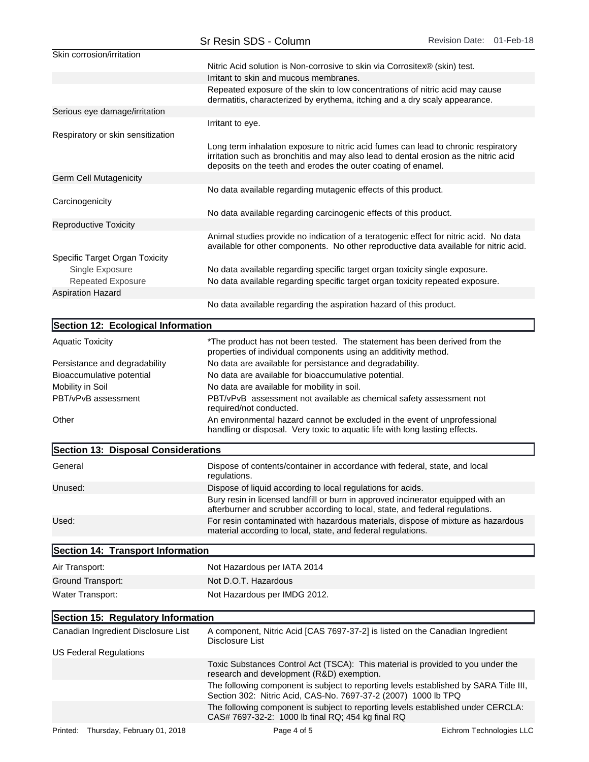|                                     | Sr Resin SDS - Column                                                                                                                                                                                                                       | Revision Date: 01-Feb-18 |  |
|-------------------------------------|---------------------------------------------------------------------------------------------------------------------------------------------------------------------------------------------------------------------------------------------|--------------------------|--|
| Skin corrosion/irritation           |                                                                                                                                                                                                                                             |                          |  |
|                                     | Nitric Acid solution is Non-corrosive to skin via Corrositex® (skin) test.                                                                                                                                                                  |                          |  |
|                                     | Irritant to skin and mucous membranes.                                                                                                                                                                                                      |                          |  |
|                                     | Repeated exposure of the skin to low concentrations of nitric acid may cause<br>dermatitis, characterized by erythema, itching and a dry scaly appearance.                                                                                  |                          |  |
| Serious eye damage/irritation       |                                                                                                                                                                                                                                             |                          |  |
|                                     | Irritant to eye.                                                                                                                                                                                                                            |                          |  |
| Respiratory or skin sensitization   |                                                                                                                                                                                                                                             |                          |  |
|                                     | Long term inhalation exposure to nitric acid fumes can lead to chronic respiratory<br>irritation such as bronchitis and may also lead to dental erosion as the nitric acid<br>deposits on the teeth and erodes the outer coating of enamel. |                          |  |
| <b>Germ Cell Mutagenicity</b>       |                                                                                                                                                                                                                                             |                          |  |
|                                     | No data available regarding mutagenic effects of this product.                                                                                                                                                                              |                          |  |
| Carcinogenicity                     |                                                                                                                                                                                                                                             |                          |  |
|                                     | No data available regarding carcinogenic effects of this product.                                                                                                                                                                           |                          |  |
| <b>Reproductive Toxicity</b>        |                                                                                                                                                                                                                                             |                          |  |
|                                     | Animal studies provide no indication of a teratogenic effect for nitric acid. No data<br>available for other components. No other reproductive data available for nitric acid.                                                              |                          |  |
| Specific Target Organ Toxicity      |                                                                                                                                                                                                                                             |                          |  |
| Single Exposure                     | No data available regarding specific target organ toxicity single exposure.                                                                                                                                                                 |                          |  |
| Repeated Exposure                   | No data available regarding specific target organ toxicity repeated exposure.                                                                                                                                                               |                          |  |
| <b>Aspiration Hazard</b>            |                                                                                                                                                                                                                                             |                          |  |
|                                     | No data available regarding the aspiration hazard of this product.                                                                                                                                                                          |                          |  |
| Section 12: Ecological Information  |                                                                                                                                                                                                                                             |                          |  |
| <b>Aquatic Toxicity</b>             | *The product has not been tested. The statement has been derived from the<br>properties of individual components using an additivity method.                                                                                                |                          |  |
| Persistance and degradability       | No data are available for persistance and degradability.                                                                                                                                                                                    |                          |  |
| Bioaccumulative potential           | No data are available for bioaccumulative potential.                                                                                                                                                                                        |                          |  |
| Mobility in Soil                    | No data are available for mobility in soil.                                                                                                                                                                                                 |                          |  |
| PBT/vPvB assessment                 | PBT/vPvB assessment not available as chemical safety assessment not<br>required/not conducted.                                                                                                                                              |                          |  |
| Other                               | An environmental hazard cannot be excluded in the event of unprofessional<br>handling or disposal. Very toxic to aquatic life with long lasting effects.                                                                                    |                          |  |
| Section 13: Disposal Considerations |                                                                                                                                                                                                                                             |                          |  |
| General                             | Dispose of contents/container in accordance with federal, state, and local                                                                                                                                                                  |                          |  |

| General | Dispose of contents/container in accordance with federal, state, and local<br>regulations.                                                                       |
|---------|------------------------------------------------------------------------------------------------------------------------------------------------------------------|
| Unused: | Dispose of liquid according to local regulations for acids.                                                                                                      |
|         | Bury resin in licensed landfill or burn in approved incinerator equipped with an<br>afterburner and scrubber according to local, state, and federal regulations. |
| Used:   | For resin contaminated with hazardous materials, dispose of mixture as hazardous<br>material according to local, state, and federal regulations.                 |

| Section 14: Transport Information                                                                                            |                                                                                                                                                         |  |
|------------------------------------------------------------------------------------------------------------------------------|---------------------------------------------------------------------------------------------------------------------------------------------------------|--|
| Air Transport:                                                                                                               | Not Hazardous per IATA 2014                                                                                                                             |  |
| Ground Transport:                                                                                                            | Not D.O.T. Hazardous                                                                                                                                    |  |
| Water Transport:                                                                                                             | Not Hazardous per IMDG 2012.                                                                                                                            |  |
| Section 15: Regulatory Information                                                                                           |                                                                                                                                                         |  |
| Canadian Ingredient Disclosure List                                                                                          | A component, Nitric Acid [CAS 7697-37-2] is listed on the Canadian Ingredient<br>Disclosure List                                                        |  |
| US Federal Regulations                                                                                                       |                                                                                                                                                         |  |
| Toxic Substances Control Act (TSCA): This material is provided to you under the<br>research and development (R&D) exemption. |                                                                                                                                                         |  |
|                                                                                                                              | The following component is subject to reporting levels established by SARA Title III,<br>Section 302: Nitric Acid, CAS-No. 7697-37-2 (2007) 1000 lb TPQ |  |
|                                                                                                                              | The following component is subject to reporting levels established under CERCLA:<br>CAS# 7697-32-2: 1000 lb final RQ; 454 kg final RQ                   |  |